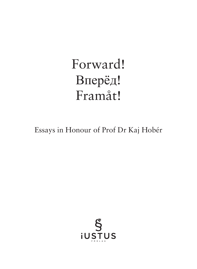# Forward! Bперёд! Framåt!

Essays in Honour of Prof Dr Kaj Hobér

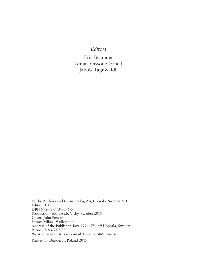## *Editors*

Eric Bylander Anna Jonsson Cornell Jakob Ragnwaldh

© The Authors and Iustus Förlag AB, Uppsala, Sweden 2019 Edition 1:1 ISBN 978-91-7737-076-5 Production: eddy.se ab, Visby, Sweden 2019 Cover: John Persson Photo: Mikael Wallerstedt Address of the Publisher: Box 1994, 751 49 Uppsala, Sweden Phone: 018-65 03 30 Website: www.iustus.se, e-mail: kundtjanst@iustus.se

Printed by Dimograf, Poland 2019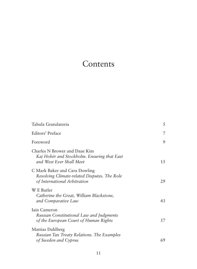# Contents

| Tabula Gratulatoria                                                                                           | 5   |
|---------------------------------------------------------------------------------------------------------------|-----|
| Editors' Preface                                                                                              | 7   |
| Foreword                                                                                                      | 9   |
| Charles N Brower and Daae Kim<br>Kaj Hobér and Stockholm. Ensuring that East<br>and West Ever Shall Meet      | 1.5 |
| C Mark Baker and Cara Dowling<br>Resolving Climate-related Disputes. The Role<br>of International Arbitration | 29  |
| W E Butler<br>Catherine the Great, William Blackstone,<br>and Comparative Law                                 | 43  |
| Iain Cameron<br>Russian Constitutional Law and Judgments<br>of the European Court of Human Rights             | 57  |
| Mattias Dahlberg<br>Russian Tax Treaty Relations. The Examples<br>of Sweden and Cyprus                        | 69  |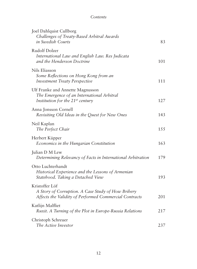# *Contents*

| Joel Dahlquist Cullborg<br>Challenges of Treaty-Based Arbitral Awards<br>in Swedish Courts                                     | 83  |
|--------------------------------------------------------------------------------------------------------------------------------|-----|
| <b>Rudolf Dolzer</b><br>International Law and English Law. Res Judicata<br>and the Henderson Doctrine                          | 101 |
| Nils Eliasson<br>Some Reflections on Hong Kong from an<br><b>Investment Treaty Perspective</b>                                 | 111 |
| Ulf Franke and Annette Magnusson<br>The Emergence of an International Arbitral<br>Institution for the $21^{st}$ century        | 127 |
| Anna Jonsson Cornell<br>Revisiting Old Ideas in the Quest for New Ones                                                         | 143 |
| Neil Kaplan<br>The Perfect Chair                                                                                               | 155 |
| Herbert Küpper<br>Economics in the Hungarian Constitution                                                                      | 163 |
| Julian D M Lew<br>Determining Relevancy of Facts in International Arbitration                                                  | 179 |
| Otto Luchterhandt<br>Historical Experience and the Lessons of Armenian<br>Statehood. Taking a Detached View                    | 193 |
| Kristoffer Löf<br>A Story of Corruption. A Case Study of How Bribery<br>Affects the Validity of Performed Commercial Contracts | 201 |
| Katlijn Malfliet<br>Ruxit. A Turning of the Plot in Europe-Russia Relations                                                    | 217 |
| Christoph Schreuer<br>The Active Investor                                                                                      | 237 |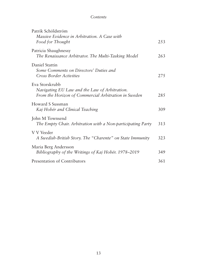### *Contents*

| Patrik Schöldström<br>Massive Evidence in Arbitration. A Case with<br>Food for Thought                                  | 253 |
|-------------------------------------------------------------------------------------------------------------------------|-----|
| Patricia Shaughnessy<br>The Renaissance Arbitrator. The Multi-Tasking Model                                             | 263 |
| Daniel Stattin<br>Some Comments on Directors' Duties and<br>Cross Border Activities                                     | 275 |
| Eva Storskrubb<br>Navigating EU Law and the Law of Arbitration.<br>From the Horizon of Commercial Arbitration in Sweden | 285 |
| Howard S Sussman<br>Kaj Hobér and Clinical Teaching                                                                     | 309 |
| John M Townsend<br>The Empty Chair. Arbitration with a Non-participating Party                                          | 313 |
| V V Veeder<br>A Swedish-British Story. The "Charente" on State Immunity                                                 | 323 |
| Maria Berg Andersson<br>Bibliography of the Writings of Kaj Hobér. 1978–2019                                            | 349 |
| Presentation of Contributors                                                                                            | 361 |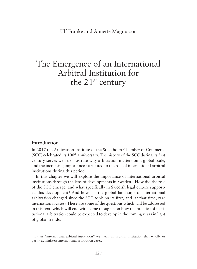# The Emergence of an International Arbitral Institution for the 21<sup>st</sup> century

#### **Introduction**

In 2017 the Arbitration Institute of the Stockholm Chamber of Commerce  $(SCC)$  celebrated its  $100<sup>th</sup>$  anniversary. The history of the SCC during its first century serves well to illustrate why arbitration matters on a global scale, and the increasing importance attributed to the role of international arbitral institutions during this period.

In this chapter we will explore the importance of international arbitral institutions through the lens of developments in Sweden.<sup>1</sup> How did the role of the SCC emerge, and what specifically in Swedish legal culture supported this development? And how has the global landscape of international arbitration changed since the SCC took on its first, and, at that time, rare international cases? These are some of the questions which will be addressed in this text, which will end with some thoughts on how the practice of institutional arbitration could be expected to develop in the coming years in light of global trends.

<sup>1</sup> By an "international arbitral institution" we mean an arbitral institution that wholly or partly administers international arbitration cases.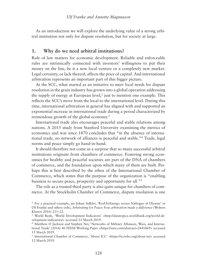As an introduction we will explore the underlying value of a strong arbitral institution not only for dispute resolution, but for society at large.

#### **1. Why do we need arbitral institutions?**

Rule of law matters for economic development. Reliable and enforceable rules are intrinsically connected with investors' willingness to put their money on the line, be it a new local venture or a completely new market. Legal certainty, or lack thereof, affects the price of capital. And international arbitration represents an important part of this bigger picture.

At the SCC, what started as an initiative to meet local needs for dispute resolution in the grain industry has grown into a global operation addressing the supply of energy at European level,<sup>2</sup> just to mention one example. This reflects the SCC's move from the local to the international level. During this time, international arbitration in general has aligned with and supported an exponential increase in international trade during a period characterized by tremendous growth of the global economy.3

International trade also encourages peaceful and stable relations among nations. A 2015 study from Stanford University examining the metrics of economics and war since 1870 concludes that "in the absence of international trade, no network of alliances is peaceful and stable."4 Trade, legal norms and peace simply go hand-in-hand.

It should therefore not come as a surprise that so many successful arbitral institutions originate from chambers of commerce. Fostering strong economies for healthy and peaceful societies are part of the DNA of chambers of commerce, and the foundation upon which many of them are built. Perhaps this is best described by the ethos of the International Chamber of Commerce, which states that the purpose of the organization is "enabling business to secure peace, prosperity and opportunity for all."5

The role as a trusted third party is also quite unique for chambers of commerce. At the Stockholm Chamber of Commerce, dispute resolution is one

<sup>2</sup> For a practical example, see Johan Sidklev, 'RosUkrEnergo versus Naftogaz of Ukraine' in Ulf Franke and others (eds), *Arbitrating for Peace: how arbitration made a difference* (Wolters Kluwer 2016) 211–22.

<sup>3</sup> World Bank, 'World Development Indicators' <http://datatopics.worldbank.org/world-development-indicators/> accessed 21 March 2019.

<sup>4</sup> Matthew O Jackson and Stephen Nei, 'Networks of Military Alliances, Wars, and International Trade' (2014) 46 FEEM Working Paper <https://ssrn.com/abstract=2441869> accessed 15 March 2019.

<sup>5</sup> International Chamber of Commerce, 'About ICC' <https://iccwbo.org/about-us/> accessed 12 March 2019.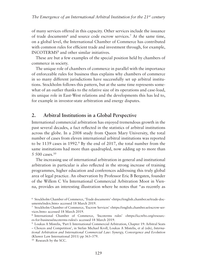of many services offered in this capacity. Other services include the issuance of trade documents<sup>6</sup> and source code escrow services.<sup>7</sup> At the same time, on a global level, the International Chamber of Commerce has contributed with common rules for efficient trade and investment through, for example, INCOTERMS8 and other similar initiatives.

These are but a few examples of the special position held by chambers of commerce in society.

The unique role of chambers of commerce in parallel with the importance of enforceable rules for business thus explains why chambers of commerce in so many different jurisdictions have successfully set up arbitral institutions. Stockholm follows this pattern, but at the same time represents somewhat of an outlier thanks to the relative size of its operations and case-load, its unique role in East-West relations and the developments this has led to, for example in investor-state arbitration and energy disputes.

## **2. Arbitral Institutions in a Global Perspective**

International commercial arbitration has enjoyed tremendous growth in the past several decades, a fact reflected in the statistics of arbitral institutions across the globe. In a 2008 study from Queen Mary University, the total number of cases from eleven international arbitral institutions was reported to be 1139 cases in 1992.<sup>9</sup> By the end of 2017, the total number from the same institutions had more than quadrupled, now adding up to more than 5 500 cases.10

The increasing use of international arbitration in general and institutional arbitration in particular is also reflected in the strong increase of training programmes, higher education and conferences addressing this truly global area of legal practice. An observation by Professor Eric B Bergsten, founder of the Willem C Vis International Commercial Arbitration Moot in Vienna, provides an interesting illustration where he notes that "as recently as

<sup>6</sup> Stockholm Chamber of Commerce, 'Trade documents' <https://english.chamber.se/trade-documents/index.htm> accessed 18 March 2019.

<sup>7</sup> Stockholm Chamber of Commerce, 'Escrow Services' <https://english.chamber.se/escrow-services.htm> accessed 18 March 2019.

<sup>8</sup> International Chamber of Commerce, 'Incoterms rules' <https://iccwbo.org/resources-for-business/incoterms-rules/> accessed 18 March 2019.

<sup>9</sup> Loukas A Mistelis, 'Part I: International Commercial Arbitration, Chapter 19: Arbitral Seats – Choices and Competition', in Stefan Michael Kroll, Loukas A Mistelis, et al (eds), *International Arbitration and International Commercial Law: Synergy, Convergence and Evolution*  (Kluwer Law International 2011) pp 363–379.

<sup>10</sup> Research by the SCC.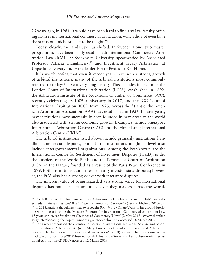25 years ago, in 1984, it would have been hard to find any law faculty offering courses in international commercial arbitration, which did not even have the status of a niche subject to be taught."11

Today, clearly, the landscape has shifted. In Sweden alone, two master programmes have been firmly established: International Commercial Arbitration Law (ICAL) at Stockholm University, spearheaded by Associated Professor Patricia Shaughnessy,<sup>12</sup> and Investment Treaty Arbitration at Uppsala University under the leadership of Professor Kaj Hobér.

It is worth noting that even if recent years have seen a strong growth of arbitral institutions, many of the arbitral institutions most commonly referred to today13 have a very long history. This includes for example the London Court of International Arbitration (LCIA), established in 1892, the Arbitration Institute of the Stockholm Chamber of Commerce (SCC), recently celebrating its 100<sup>th</sup> anniversary in 2017, and the ICC Court of International Arbitration (ICC), from 1923. Across the Atlantic, the American Arbitration Association (AAA) was established in 1926. In later years, new institutions have successfully been founded in new areas of the world also associated with strong economic growth. Examples include Singapore International Arbitration Centre (SIAC) and the Hong Kong International Arbitration Centre (HKIAC).

The arbitral institutions listed above include primarily institutions handling commercial disputes, but arbitral institutions at global level also include intergovernmental organizations. Among the best-known are the International Centre for Settlement of Investment Disputes (ICSID), under the auspices of the World Bank, and the Permanent Court of Arbitration (PCA) in the Hague, founded as a result of the Paris Peace Conference in 1899. Both institutions administer primarily investor-state disputes; however, the PCA also has a strong docket with interstate disputes.

The inherent value of being regarded as a strong venue for international disputes has not been left unnoticed by policy makers across the world.

<sup>13</sup> For a recent report on the evolution of seats and institutions, see White & Case and School of International Arbitration at Queen Mary University of London, 'International Arbitration Survey: The Evolution of International Arbitration' (2018) <www.arbitration.qmul.ac.uk/ media/arbitration/docs/2018-International-Arbitration-Survey---The-Evolution-of-International-Arbitration-(2).PDF> accessed 12 March 2019.

<sup>11</sup> Eric E Bergsten, 'Teaching International Arbitration in Law Faculties' in Kaj Hobér and others (eds), *Between East and West: Essays in Honour of Ulf Franke* (Juris Publishing 2010) 35. <sup>12</sup> In 2018, Patricia Shaughnessy was awarded the *Boosting the Capital Prize* for her ground-breaking work in establishing the Master's Program for International Commercial Arbitration Law 15 years earlier, see Stockholm Chamber of Commerce, 'News' (2 May 2018) <www.chamber. se/nyheter/boosting-the-capital-vinnarna-gor-stockholm.htm> accessed 18 March 2019.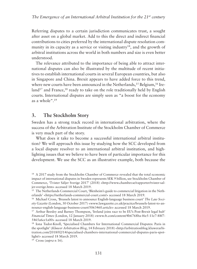Referring disputes to a certain jurisdiction communicates trust, a sought after asset on a global market. Add to this the direct and indirect financial contributions to cities preferred by the international dispute resolution community in its capacity as a service or visiting industry<sup>14</sup>, and the growth of arbitral institutions across the world in both numbers and size is even better understood.

The relevance attributed to the importance of being able to attract international disputes can also be illustrated by the multitude of recent initiatives to establish international courts in several European countries, but also in Singapore and China. Brexit appears to have added force to this trend, where new courts have been announced in the Netherlands,<sup>15</sup> Belgium,<sup>16</sup> Ire- $\text{land}^{17}$  and France,<sup>18</sup> ready to take on the role traditionally held by English courts. International disputes are simply seen as "a boost for the economy as a whole".19

#### **3. The Stockholm Story**

Sweden has a strong track record in international arbitration, where the success of the Arbitration Institute of the Stockholm Chamber of Commerce is very much part of the story.

What does it take to become a successful international arbitral institution? We will approach this issue by studying how the SCC developed from a local dispute resolver to an international arbitral institution, and highlighting issues that we believe to have been of particular importance for this development. We use the SCC as an illustrative example, both because the

<sup>19</sup> Cross (*supra* n 16).

<sup>&</sup>lt;sup>14</sup> A 2017 study from the Stockholm Chamber of Commerce revealed that the total economic impact of international disputes in Sweden represents SEK 9 billion, see Stockholm Chamber of Commerce, 'Tvister Säljer Sverige 2017' (2018) <http://www.chamber.se/rapporter/tvister-saljer-sverige.htm> accessed 18 March 2019.

<sup>15</sup> The Netherlands Commercial Court, 'Blenheim's guide to commercial litigation in the Netherlands' <https://netherlands-commercial-court.com/> accessed 18 March 2019.

<sup>16</sup> Michael Cross, 'Brussels latest to announce English-language business court' *The Law Society Gazette* (London, 30 October 2017) <www.lawgazette.co.uk/practice/brussels-latest-to-announce-english-language-business-court/5063460.article> accessed 18 March 2019.

<sup>17</sup> Arthur Beesley and Barney Thompson, 'Ireland joins race to be EU's Post-Brexit legal hub' *Financial Times* (London, 12 January 2018) <www.ft.com/content/4b6768ba-f6e5-11e7-88f7- 5465a6ce1a00> accessed 18 March 2019.

<sup>18</sup> Iona Tudor-Knoll, 'Specialised Chambers for International Commercial Disputes: Paris in the spotlight' (*Kluwer Arbitration Blog*, 14 February 2018) <http://arbitrationblog.kluwerarbitration.com/2018/02/14/specialised-chambers-international-commercial-disputes-paris-spotlight/> accessed 18 March 2019.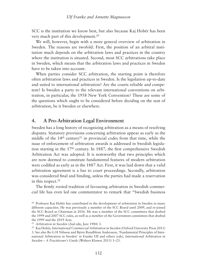SCC is the institution we know best, but also because Kaj Hobér has been very much part of this development.20

We will, however, begin with a more general overview of arbitration in Sweden. The reasons are twofold. First, the position of an arbitral institution much depends on the arbitration laws and practices in the country where the institution is situated. Second, most SCC arbitrations take place in Sweden, which means that the arbitration laws and practices in Sweden have to be taken into account.

When parties consider SCC arbitration, the starting point is therefore often arbitration laws and practices in Sweden. Is the legislation up-to-date and suited to international arbitration? Are the courts reliable and competent? Is Sweden a party to the relevant international conventions on arbitration, in particular, the 1958 New York Convention? These are some of the questions which ought to be considered before deciding on the seat of arbitration, be it Sweden or elsewhere.

#### **4. A Pro-Arbitration Legal Environment**

Sweden has a long history of recognizing arbitration as a means of resolving disputes. Statutory provisions concerning arbitration appear as early as the middle of the  $14<sup>th</sup>$  century<sup>21</sup> in provincial codes from that time, while the issue of enforcement of arbitration awards is addressed in Swedish legislation starting in the 17<sup>th</sup> century. In 1887, the first comprehensive Swedish Arbitration Act was adopted. It is noteworthy that two principles which are now deemed to constitute fundamental features of modern arbitration were codified as early as in the 1887 Act. First, it was laid down that a valid arbitration agreement is a bar to court proceedings. Secondly, arbitration was considered final and binding, unless the parties had made a reservation in this respect. $22$ 

The firmly rooted tradition of favouring arbitration in Swedish commercial life has even led one commentator to remark that "Swedish business

<sup>&</sup>lt;sup>20</sup> Professor Kaj Hobér has contributed to the development of arbitration in Sweden in many different capacities. He was previously a member of the SCC Board until 2009, and re-joined the SCC Board as Chairman in 2016. He was a member of the SCC committees that drafted the 1999 and 2007 SCC rules, as well as a member of the Government committees that drafted the 1999 and the 2019 Acts.

<sup>21</sup> *Arbitration in Sweden* (2nd edn, Jure 1984) 3.

<sup>22</sup> Kaj Hobér, *International Commercial Arbitration in Sweden* (Oxford University Press 2011) 3. See also Bo G H Nilsson and Björn Rundblom Andersson, 'Fundamental Principles of International Arbitration in Sweden' in Franke Ulf and others (eds), *International Arbitration in Sweden – A Practitioner's Guide* (Wolters Kluwer 2013) 1–23.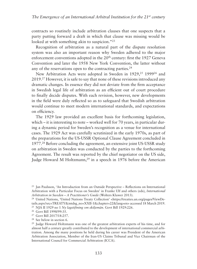contracts so routinely include arbitration clauses that one suspects that a party putting forward a draft in which that clause was missing would be looked at with something akin to suspicion."<sup>23</sup>

Recognition of arbitration as a natural part of the dispute resolution system was also an important reason why Sweden adhered to the major enforcement conventions adopted in the 20<sup>th</sup> century: first the 1927 Geneva Convention and later the 1958 New York Convention, the latter without any of the reservations open to the contracting parties.<sup>24</sup>

New Arbitration Acts were adopted in Sweden in 1929,25 199926 and 2019.27 However, it is safe to say that none of these revisions introduced any dramatic changes. In essence they did not deviate from the firm acceptance in Swedish legal life of arbitration as an efficient out of court procedure to finally decide disputes. With each revision, however, new developments in the field were duly reflected so as to safeguard that Swedish arbitration would continue to meet modern international standards, and expectations on efficiency.

The 1929 law provided an excellent basis for forthcoming legislation, which – it is interesting to note – worked well for 70 years, in particular during a dynamic period for Sweden's recognition as a venue for international cases. The 1929 Act was carefully scrutinized in the early 1970s, as part of the preparations for the US-USSR Optional Clause Agreement concluded in 1977.28 Before concluding the agreement, an extensive joint US-USSR study on arbitration in Sweden was conducted by the parties to the forthcoming Agreement. The result was reported by the chief negotiator on the US side, Judge Howard M Holtzmann,<sup>29</sup> in a speech in 1976 before the American

- <sup>25</sup> NJA II 1929 no 1 *Ny lagstiftning om skiljemän*. Govt Bill 1929:226.
- <sup>26</sup> Govt Bill 1998/99:35.
- <sup>27</sup> Govt Bill 2017/18:257.
- <sup>28</sup> See below in section 6.

<sup>23</sup> Jan Paulsson, 'An Introduction from an Outside Perspective – Reflections on International Arbitration with a Particular Focus on Sweden' in Franke Ulf and others (eds), *International Arbitration in Sweden – A Practitioner's Guide* (Wolters Kluwer 2013).

<sup>&</sup>lt;sup>24</sup> United Nations, 'United Nations Treaty Collection' <https://treaties.un.org/pages/ViewDetails.aspx?src=TREATY&mtdsg\_no=XXII-1&chapter=22&lang=en> accessed 18 March 2019.

<sup>29</sup> Judge Howard Holtzmann was one of the greatest arbitration experts of his time, and for almost half a century greatly contributed to the development of international commercial arbitration. Among the many positions he held during his career was President of the American Arbitration Association, Member of the Iran-US Claims Tribunal and Vice Chairman of the International Council for Commercial Arbitration (ICCA).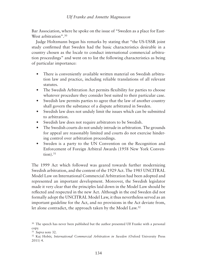Bar Association, where he spoke on the issue of "Sweden as a place for East-West arbitration".<sup>30</sup>

Judge Holtzmann began his remarks by stating that "the US-USSR joint study confirmed that Sweden had the basic characteristics desirable in a country chosen as the locale to conduct international commercial arbitration proceedings" and went on to list the following characteristics as being of particular importance:

- There is conveniently available written material on Swedish arbitration law and practice, including reliable translations of all relevant statutes.
- The Swedish Arbitration Act permits flexibility for parties to choose whatever procedure they consider best suited to their particular case.
- Swedish law permits parties to agree that the law of another country shall govern the substance of a dispute arbitrated in Sweden.
- Swedish law does not unduly limit the issues which can be submitted to arbitration.
- Swedish law does not require arbitrators to be Swedish.
- The Swedish courts do not unduly intrude in arbitration. The grounds for appeal are reasonably limited and courts do not exercise hindering control over arbitration proceedings.
- Sweden is a party to the UN Convention on the Recognition and Enforcement of Foreign Arbitral Awards (1958 New York Conven- $\text{tion}$ ).  $31$

The 1999 Act which followed was geared towards further modernizing Swedish arbitration, and the content of the 1929 Act. The 1985 UNCITRAL Model Law on International Commercial Arbitration had been adopted and represented an important development. Moreover, the Swedish legislator made it very clear that the principles laid down in the Model Law should be reflected and respected in the new Act. Although in the end Sweden did not formally adopt the UNCITRAL Model Law, it thus nevertheless served as an important guideline for the Act, and no provisions in the Act deviate from, let alone contradict, the approach taken by the Model Law.<sup>32</sup>

<sup>&</sup>lt;sup>30</sup> The speech has never been published but the author presented Ulf Franke with a personal copy.

<sup>31</sup> *Supra* note 32.

<sup>32</sup> Kaj Hobér, *International Commercial Arbitration in Sweden* (Oxford University Press 2011) 4.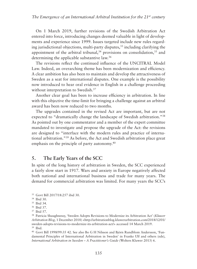On 1 March 2019, further revisions of the Swedish Arbitration Act entered into force, introducing changes deemed valuable in light of developments and experience since 1999. Issues targeted include new rules regarding jurisdictional objections, multi-party disputes,  $33$  including clarifying the appointment of the arbitral tribunal, $34$  provisions on consolidation, $35$  and determining the applicable substantive law.36

The revisions reflect the continued influence of the UNCITRAL Model Law. Indeed, an overarching theme has been modernization and efficiency. A clear ambition has also been to maintain and develop the attractiveness of Sweden as a seat for international disputes. One example is the possibility now introduced to hear oral evidence in English in a challenge proceeding without interpretation to Swedish.<sup>37</sup>

Another clear goal has been to increase efficiency in arbitration. In line with this objective the time-limit for bringing a challenge against an arbitral award has been now reduced to two months.

The upgrades contained in the revised Act are important, but are not expected to "dramatically change the landscape of Swedish arbitration."38 As pointed out by one commentator and a member of the expert committee mandated to investigate and propose the upgrade of the Act: the revisions are designed to "interface with the modern rules and practice of international arbitration."39 As before, the Act and Swedish arbitration place great emphasis on the principle of party autonomy.<sup>40</sup>

# **5. The Early Years of the SCC**

In spite of the long history of arbitration in Sweden, the SCC experienced a fairly slow start in 1917. Wars and anxiety in Europe negatively affected both national and international business and trade for many years. The demand for commercial arbitration was limited. For many years the SCC's

<sup>40</sup> Govt Bill 1998/99:35 42. See also Bo G H Nilsson and Björn Rundblom Andersson, 'Fundamental Principles of International Arbitration in Sweden' in Franke Ulf and others (eds), *International Arbitration in Sweden – A Practitioner's Guide* (Wolters Kluwer 2013) 6.

<sup>33</sup> Govt Bill 2017/18:257 ibid 30.

<sup>34</sup> Ibid 30.

<sup>35</sup> Ibid 34.

<sup>36</sup> Ibid 37.

<sup>37</sup> Ibid 57.

<sup>38</sup> Patricia Shaughnessy, 'Sweden Adopts Revisions to Modernize its Arbitration Act' (*Kluwer Arbitration Blog,* 1 December 2018) <http://arbitrationblog.kluwerarbitration.com/2018/12/01/ sweden-adopts-revisions-to-modernize-its-arbitration-act/> accessed 14 March 2019.  $39$  Ibid.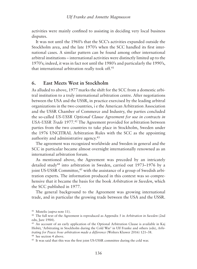activities were mainly confined to assisting in deciding very local business disputes.

It was not until the 1960's that the SCC's activities expanded outside the Stockholm area, and the late 1970's when the SCC handled its first international cases. A similar pattern can be found among other international arbitral institutions – international activities were distinctly limited up to the 1970's; indeed, it was in fact not until the 1980's and particularly the 1990's, that international arbitration really took off.41

#### **6. East Meets West in Stockholm**

As alluded to above, 1977 marks the shift for the SCC from a domestic arbitral institution to a truly international arbitration centre. After negotiations between the USA and the USSR, in practice exercised by the leading arbitral organizations in the two countries, i e the American Arbitration Association and the USSR Chamber of Commerce and Industry, the parties concluded the so-called *US-USSR Optional Clause Agreement for use in contracts in USA-USSR Trade* 1977.42 The Agreement provided for arbitration between parties from the two countries to take place in Stockholm, Sweden under the 1976 UNCITRAL Arbitration Rules with the SCC as the appointing authority and administrative agency.43

The agreement was recognized worldwide and Sweden in general and the SCC in particular became almost overnight internationally renowned as an international arbitration forum.

As mentioned above, the Agreement was preceded by an intricately detailed study<sup>44</sup> into arbitration in Sweden, carried out 1973-1976 by a joint US-USSR Committee,<sup>45</sup> with the assistance of a group of Swedish arbitration experts. The information produced in this context was so comprehensive that it became the basis for the book *Arbitration in Sweden*, which the SCC published in 1977.

The general background to the Agreement was growing international trade, and in particular the growing trade between the USA and the USSR.

<sup>41</sup> Mistelis (*supra* note 11).

<sup>42</sup> The full text of the Agreement is reproduced as Appendix 5 in *Arbitration in Sweden* (2nd edn, Jure 1984).

<sup>43</sup> An account of an early application of the Optional Arbitration Clause is available in Kaj Hobér, 'Arbitrating in Stockholm during the Cold War' in Ulf Franke and others (eds), *Arbitrating for Peace: how arbitration made a difference* (Wolters Kluwer 2016) 121–38. <sup>44</sup> See section 4 above.

<sup>45</sup> It was said that this was the first joint US-USSR committee during the cold war.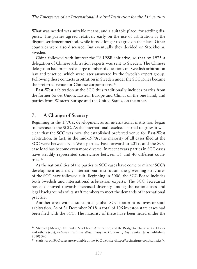What was needed was suitable means, and a suitable place, for settling disputes. The parties agreed relatively early on the use of arbitration as the dispute settlement method, while it took longer to agree on the place. Other countries were also discussed. But eventually they decided on Stockholm, Sweden.

China followed with interest the US-USSR initiative, so that by 1975 a delegation of Chinese arbitration experts was sent to Sweden. The Chinese delegation had prepared a large number of questions on Swedish arbitration law and practice, which were later answered by the Swedish expert group. Following these contacts arbitration in Sweden under the SCC Rules became the preferred venue for Chinese corporations.46

East-West arbitration at the SCC thus traditionally includes parties from the former Soviet Union, Eastern Europe and China, on the one hand, and parties from Western Europe and the United States, on the other.

#### **7. A Change of Scenery**

Beginning in the 1970's, development as an international institution began to increase at the SCC. As the international caseload started to grow, it was clear that the SCC was now the established preferred venue for East-West arbitration. In fact, in the mid-1990s, the majority of all cases filed at the SCC were between East-West parties. Fast forward to 2019, and the SCC case load has become even more diverse. In recent years parties in SCC cases have steadily represented somewhere between 35 and 40 different countries.47

As the nationalities of the parties to SCC cases have come to mirror SCC's development as a truly international institution, the governing structures of the SCC have followed suit. Beginning in 2006, the SCC Board includes both Swedish and international arbitration experts. The SCC Secretariat has also moved towards increased diversity among the nationalities and legal backgrounds of its staff members to meet the demands of international practice.

Another area with a substantial global SCC footprint is investor-state arbitration. As of 31 December 2018, a total of 106 investor-state cases had been filed with the SCC. The majority of these have been heard under the

<sup>46</sup> Michael J Moser, 'Ulf Franke, Stockholm Arbitration, and the Bridge to China' in Kaj Hobér and others (eds), *Between East and West: Essays in Honour of Ulf Franke* (Juris Publishing 2010) 343.

<sup>47</sup> Statistics on SCC cases are available at the SCC website <https://sccinstitute.com/statistics/>.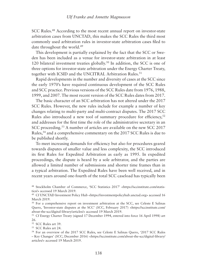SCC Rules.<sup>48</sup> According to the most recent annual report on investor-state arbitration cases from UNCTAD, this makes the SCC Rules the third most commonly used arbitration rules in investor-state arbitration cases filed to date throughout the world.49

This development is partially explained by the fact that the SCC or Sweden has been included as a venue for investor-state arbitration in at least 120 bilateral investment treaties globally.<sup>50</sup> In addition, the SCC is one of three options for investor-state arbitration under the Energy Charter Treaty, together with ICSID and the UNCITRAL Arbitration Rules.<sup>51</sup>

Rapid developments in the number and diversity of cases at the SCC since the early 1970's have required continuous development of the SCC Rules and SCC practice. Previous versions of the SCC Rules date from 1976, 1988, 1999, and 2007. The most recent version of the SCC Rules dates from 2017.

The basic character of an SCC arbitration has not altered under the 2017 SCC Rules. However, the new rules include for example a number of key changes relating to multi-party and multi-contract disputes. The 2017 SCC Rules also introduced a new tool of summary procedure for efficiency,<sup>52</sup> and addresses for the first time the role of the administrative secretary in an SCC proceeding.<sup>53</sup> A number of articles are available on the new SCC 2017 Rules,54 and a comprehensive commentary on the 2017 SCC Rules is due to be published shortly.

To meet increasing demands for efficiency but also for procedures geared towards disputes of smaller value and less complexity, the SCC introduced its first Rules for Expedited Arbitration as early as 1995. In expedited proceedings, the dispute is heard by a sole arbitrator, and the parties are allowed a limited number of submissions and shorter time frames than in a typical arbitration. The Expedited Rules have been well received, and in recent years around one-fourth of the total SCC caseload has typically been

<sup>51</sup> Cf Energy Charter Treaty (signed 17 December 1994, entered into force 16 April 1998) art 26.

<sup>52</sup> SCC Rules art 39.

<sup>53</sup> SCC Rules art 24.

<sup>48</sup> Stockholm Chamber of Commerce, 'SCC Statistics 2017' <https://sccinstitute.com/statistics/> accessed 19 March 2019.

<sup>49</sup> Cf UNCTAD Investment Policy Hub <https://investmentpolicyhub.unctad.org> accessed 16 March 2019.

<sup>&</sup>lt;sup>50</sup> For a comprehensive report on investment arbitration at the SCC, see Celeste E Salinas Quero, 'Investor-state disputes at the SCC' (*SCC*, February 2017) <https://sccinstitute.com/ about-the-scc/digital-library/articles/> accessed 19 March 2019.

<sup>54</sup> For an overview of the 2017 SCC Rules, see Celeste E Salinas Quero, '2017 SCC Rules – Key Changes' (*SCC*, December 2016) <https://sccinstitute.com/about-the-scc/digital-library/ articles/> accessed 19 March 2019.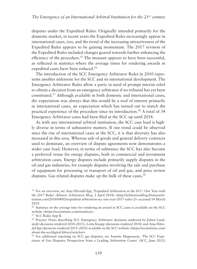disputes under the Expedited Rules. Originally intended primarily for the domestic market, in recent years the Expedited Rules increasingly appear in international cases, too, and the trend of the increasing attractiveness of the Expedited Rules appears to be gaining momentum. The 2017 revision of the Expedited Rules included changes geared towards further enhancing the efficiency of the procedure.<sup>55</sup> The measure appears to have been successful, as reflected in statistics where the average times for rendering awards in expedited cases have been reduced.56

The introduction of the SCC Emergency Arbitrator Rules in 2010 represents another milestone for the SCC and its international development. The Emergency Arbitrator Rules allow a party in need of prompt interim relief to obtain a decision from an emergency arbitrator if no tribunal has yet been constituted.57 Although available in both domestic and international cases, the expectation was always that this would be a tool of interest primarily in international cases, an expectation which has turned out to match the practical experience of the procedure since its introduction.58 A total of 34 Emergency Arbitrator cases had been filed at the SCC up until 2018.

As with any international arbitral institution, the SCC case load is highly diverse in terms of substantive matters. If one trend could be observed since the rise of international cases at the SCC, it is that diversity has also increased in this area. Whereas sale of goods and general delivery contracts used to dominate, an overview of dispute agreements now demonstrates a wider case load. However, in terms of substance the SCC has also become a preferred venue for energy disputes, both in commercial and investment arbitration cases. Energy disputes include primarily supply disputes in the oil and gas industries, for example disputes involving the sale and purchase of equipment for processing or transport of oil and gas, and price review disputes. Gas related disputes make up the bulk of these cases.<sup>59</sup>

<sup>57</sup> SCC Rules App II.

<sup>55</sup> For an overview, see Anja Håvedal-Ipp, 'Expedited Arbitration at the SCC: One Year with the 2017 Rules' *(Kluwer Arbitration Blog*, 2 April 2018) <http://arbitrationblog.kluwerarbitration.com/2018/04/02/expedited-arbitration-scc-one-year-2017-rules-2/> accessed 14 March 2019.

<sup>56</sup> Statistics on the average time for rendering an award in SCC cases is available on the SCC website <https://sccinstitute.com/statistics/>.

<sup>58</sup> Practice Notes describing SCC Emergency Arbitrator decisions authored by Johan Lundstedt (decisions rendered 2010–2013), Lotta Knapp (decisions rendered 2014) and Anja Håvedal Ipp (decisions rendered 2015–2016) available on the SCC website <https://sccinstitute.com/ about-the-scc/digital-library/articles/>.

<sup>59</sup> For additional reporting on SCC gas disputes, see Annette Magnusson, 'The SCC Experience of Gas Disputes: Perspectives from a Leading Arbitration Centre*'* (SCC, June 2012)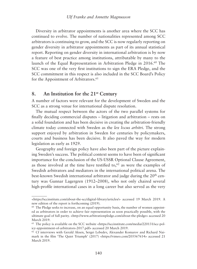Diversity in arbitrator appointments is another area where the SCC has continued to evolve. The number of nationalities represented among SCC arbitrators is continuing to grow, and the SCC is now regularly reporting on gender diversity in arbitrator appointments as part of its annual statistical report. Reporting on gender diversity in international arbitration is by now a feature of best practice among institutions, attributable by many to the launch of the Equal Representation in Arbitration Pledge in 2016.<sup>60</sup> The SCC was one of the very first institutions to sign the ERA Pledge, and the SCC commitment in this respect is also included in the SCC Board's Policy for the Appointment of Arbitrators.<sup>61</sup>

### **8. An Institution for the 21st Century**

A number of factors were relevant for the development of Sweden and the SCC as a strong venue for international dispute resolution.

The mutual respect between the actors of the two parallel systems for finally deciding commercial disputes – litigation and arbitration – rests on a solid foundation and has been decisive in creating the arbitration-friendly climate today connected with Sweden as the *lex locus arbitri*. The strong support enjoyed by arbitration in Sweden for centuries by policymakers, courts and business has been decisive. It also paved the way for modern legislation as early as 1929.

Geography and foreign policy have also been part of the picture explaining Sweden's success. The political context seems to have been of significant importance for the conclusion of the US-USSR Optional Clause Agreement, as those involved at the time have testified to, $62$  as were the examples of Swedish arbitrators and mediators in the international political arena. The best-known Swedish international arbitrator and judge during the 20<sup>th</sup> century was Gunnar Lagergren (1912–2008), who not only chaired several high-profile international cases in a long career but also served as the very

<sup>&</sup>lt;https://sccinstitute.com/about-the-scc/digital-library/articles/> accessed 19 March 2019. A new edition of the report is forthcoming (2019).

 $60$  The Pledge seeks to increase, on an equal opportunity basis, the number of women appointed as arbitrators in order to achieve fair representation as soon practically possible, with the ultimate goal of full parity. <http://www.arbitrationpledge.com/about-the-pledge> accessed 20 March 2019.

 $61$  The policy is available on the SCC website <https://sccinstitute.com/media/220131/scc-policy-appointment-of-arbitrators-2017.pdf> accessed 20 March 2019.

<sup>62</sup> Cf interviews with Gerald Aksen, Sergei Lebedev, Alexander Komarov and Richard Naimark in the film 'The Quiet Triumph' (2017) <https://vimeo.com/205567614> accessed 21 March 2019.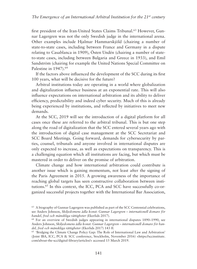first president of the Iran-United States Claims Tribunal.<sup>63</sup> However. Gunnar Lagergren was not the only Swedish judge in the international arena. Other examples include Hjalmar Hammarskjöld (chairing a number of state-to-state cases, including between France and Germany in a dispute relating to Casablanca in 1909), Östen Undén (chairing a number of stateto-state cases, including between Bulgaria and Greece in 1933), and Emil Sandström (chairing for example the United Nations Special Committee on Palestine in 1947).<sup>64</sup>

If the factors above influenced the development of the SCC during its first 100 years, what will be decisive for the future?

Arbitral institutions today are operating in a world where globalization and digitalization influence business at an exponential rate. This will also influence expectations on international arbitration and its ability to deliver efficiency, predictability and indeed cyber security. Much of this is already being experienced by institutions, and reflected by initiatives to meet new demands.

At the SCC, 2019 will see the introduction of a digital platform for all cases once these are referred to the arbitral tribunal. This is but one step along the road of digitalization that the SCC entered several years ago with the introduction of digital case management at the SCC Secretariat and SCC Board Meetings. Going forward, demands for cybersecurity by parties, counsel, tribunals and anyone involved in international disputes are only expected to increase, as well as expectations on transparency. This is a challenging equation which all institutions are facing, but which must be mastered in order to deliver on the promise of arbitration.

Climate change and how international arbitration could contribute is another issue which is gaining momentum, not least after the signing of the Paris Agreement in 2015. A growing awareness of the importance of reaching global targets has seen constructive collaboration between institutions.65 In this context, the ICC, PCA and SCC have successfully co-organized successful projects together with the International Bar Association,

 $63$  A biography of Gunnar Lagergren was published as part of the SCC Centennial celebrations, see Anders Johnson, *Skiljedomens ädla konst: Gunnar Lagergren – internationell domare för handel, fred och mänskliga rättigheter* (Ekerlids 2017).

<sup>64</sup> For an overview of Swedish judges appearing in international disputes 1890–1990, see Anders Johnson, *Skiljedomens ädla konst: Gunnar Lagergren – internationell domare för handel, fred och mänskliga rättigheter* (Ekerlids 2017) 143 ff*.*

<sup>65</sup> 'Bridging the Climate Change Policy Gap: The Role of International Law and Arbitration' (Joint IBA, ICC, PCA & SCC conference, Stockholm, November 2016) <https://sccinstitute. com/about-the-scc/digital-library/articles/> accessed 15 March 2019.